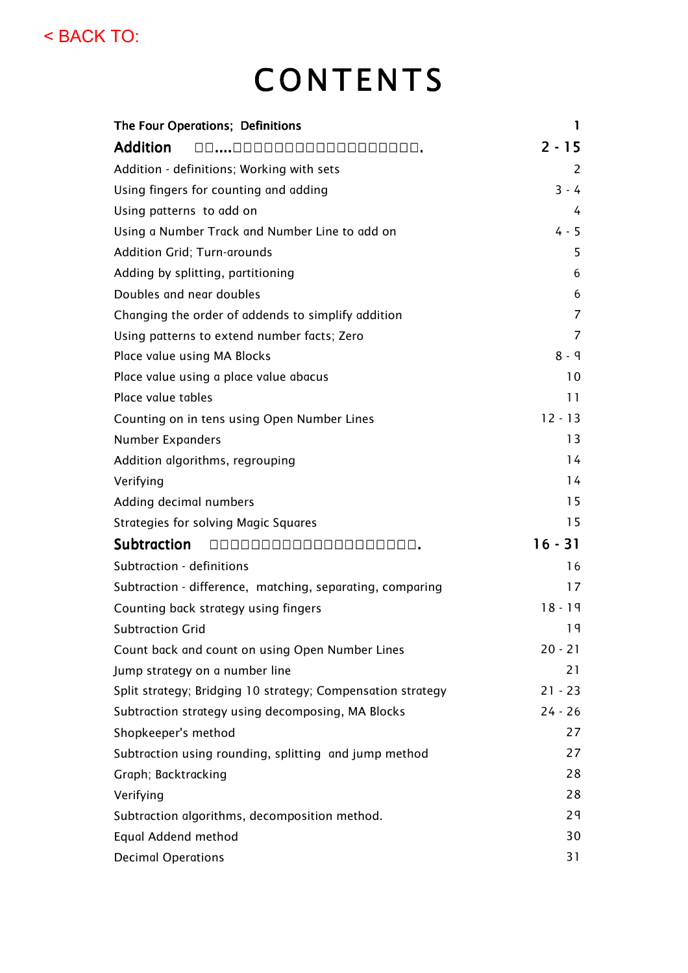< BACK TO:

# **CONTENTS**

| The Four Operations; Definitions                            | 1              |
|-------------------------------------------------------------|----------------|
| <b>Addition</b>                                             | $2 - 15$       |
| Addition - definitions; Working with sets                   | 2              |
| Using fingers for counting and adding                       | $3 - 4$        |
| Using patterns to add on                                    | 4              |
| Using a Number Track and Number Line to add on              | $4 - 5$        |
| <b>Addition Grid; Turn-arounds</b>                          | 5              |
| Adding by splitting, partitioning                           | 6              |
| Doubles and near doubles                                    | 6              |
| Changing the order of addends to simplify addition          | 7              |
| Using patterns to extend number facts; Zero                 | $\overline{7}$ |
| Place value using MA Blocks                                 | $8 - 9$        |
| Place value using a place value abacus                      | 10             |
| Place value tables                                          | 11             |
| Counting on in tens using Open Number Lines                 | $12 - 13$      |
| <b>Number Expanders</b>                                     | 13             |
| Addition algorithms, regrouping                             | 14             |
| Verifying                                                   | 14             |
| Adding decimal numbers                                      | 15             |
| Strategies for solving Magic Squares                        | 15             |
| <b>Subtraction</b>                                          | $16 - 31$      |
| Subtraction - definitions                                   | 16             |
| Subtraction - difference, matching, separating, comparing   | 17             |
| Counting back strategy using fingers                        | $18 - 19$      |
| <b>Subtraction Grid</b>                                     | 19             |
| Count back and count on using Open Number Lines             | $20 - 21$      |
| Jump strategy on a number line                              | 21             |
| Split strategy; Bridging 10 strategy; Compensation strategy | $21 - 23$      |
| Subtraction strategy using decomposing, MA Blocks           | $24 - 26$      |
| Shopkeeper's method                                         | 27             |
| Subtraction using rounding, splitting and jump method       | 27             |
| Graph; Backtracking                                         | 28             |
| Verifying                                                   | 28             |
| Subtraction algorithms, decomposition method.               | 29             |
| Equal Addend method                                         | 30             |
| <b>Decimal Operations</b>                                   | 31             |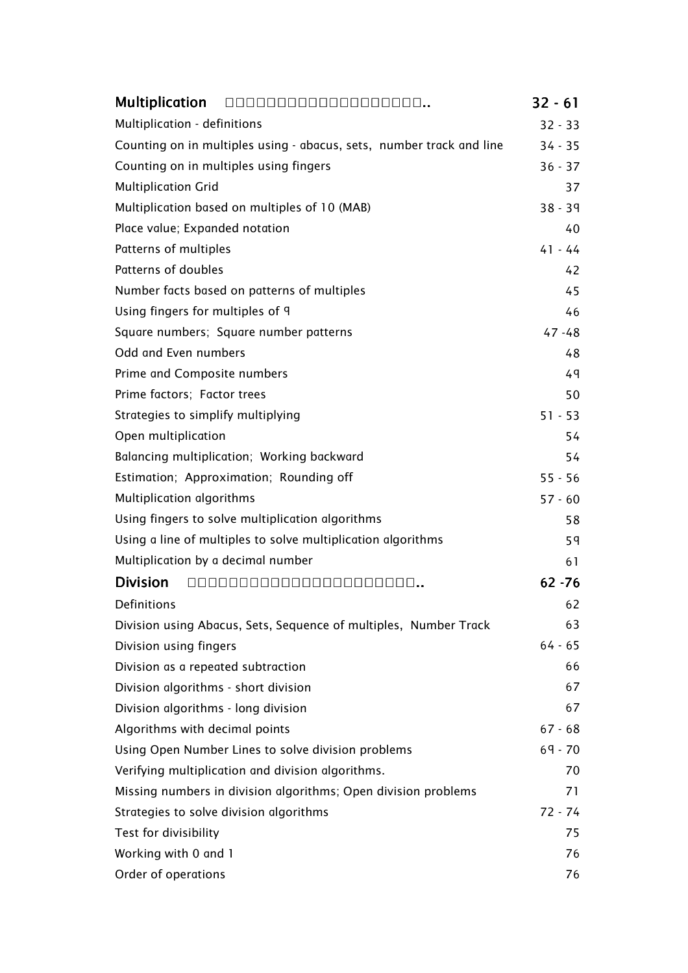| <b>Multiplication</b>                                                | <br>$32 - 61$ |
|----------------------------------------------------------------------|---------------|
| Multiplication - definitions                                         | $32 - 33$     |
| Counting on in multiples using - abacus, sets, number track and line | $34 - 35$     |
| Counting on in multiples using fingers                               | $36 - 37$     |
| <b>Multiplication Grid</b>                                           | 37            |
| Multiplication based on multiples of 10 (MAB)                        | $38 - 39$     |
| Place value; Expanded notation                                       | 40            |
| Patterns of multiples                                                | $41 - 44$     |
| Patterns of doubles                                                  | 42            |
| Number facts based on patterns of multiples                          | 45            |
| Using fingers for multiples of 9                                     | 46            |
| Square numbers; Square number patterns                               | $47 - 48$     |
| Odd and Even numbers                                                 | 48            |
| Prime and Composite numbers                                          | 49            |
| Prime factors; Factor trees                                          | 50            |
| Strategies to simplify multiplying                                   | $51 - 53$     |
| Open multiplication                                                  | 54            |
| Balancing multiplication; Working backward                           | 54            |
| Estimation; Approximation; Rounding off                              | $55 - 56$     |
| Multiplication algorithms                                            | $57 - 60$     |
| Using fingers to solve multiplication algorithms                     | 58            |
| Using a line of multiples to solve multiplication algorithms         | 59            |
| Multiplication by a decimal number                                   | 61            |
| <b>Division</b>                                                      | <br>$62 - 76$ |
| Definitions                                                          | 62            |
| Division using Abacus, Sets, Sequence of multiples, Number Track     | 63            |
| Division using fingers                                               | $64 - 65$     |
| Division as a repeated subtraction                                   | 66            |
| Division algorithms - short division                                 | 67            |
| Division algorithms - long division                                  | 67            |
| Algorithms with decimal points                                       | $67 - 68$     |
| Using Open Number Lines to solve division problems                   | $69 - 70$     |
| Verifying multiplication and division algorithms.                    | 70            |
| Missing numbers in division algorithms; Open division problems       | 71            |
| Strategies to solve division algorithms                              | $72 - 74$     |
| Test for divisibility                                                | 75            |
| Working with 0 and 1                                                 | 76            |
| Order of operations                                                  | 76            |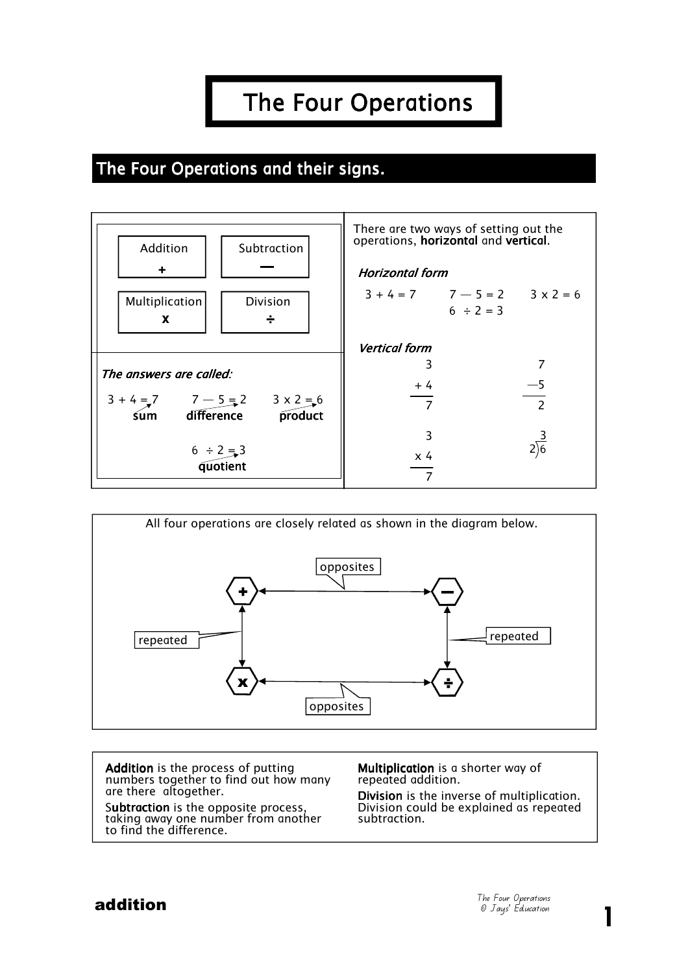# The Four Operations

#### The Four Operations and their signs.





Addition is the process of putting numbers together to find out how many are there altogether.

Subtraction is the opposite process, taking away one number from another to find the difference.

Multiplication is a shorter way of repeated addition.

Division is the inverse of multiplication. Division could be explained as repeated subtraction.

1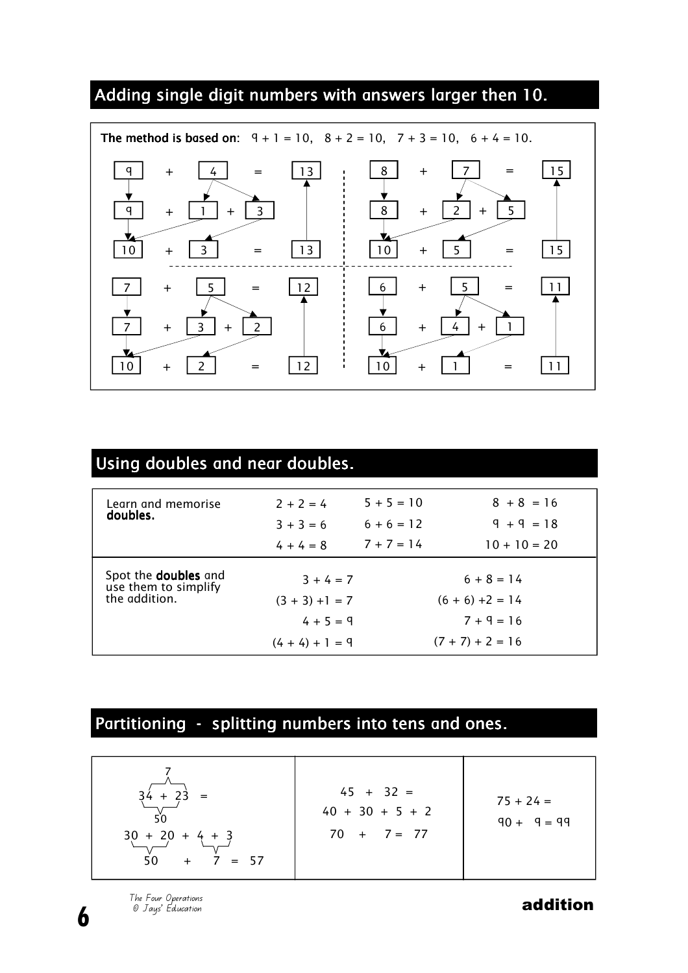## Adding single digit numbers with answers larger then 10.



| Using doubles and near doubles.                     |                   |                    |                |  |  |  |  |  |  |
|-----------------------------------------------------|-------------------|--------------------|----------------|--|--|--|--|--|--|
|                                                     |                   |                    |                |  |  |  |  |  |  |
| Learn and memorise<br>doubles.                      | $2 + 2 = 4$       | $5 + 5 = 10$       | $8 + 8 = 16$   |  |  |  |  |  |  |
|                                                     | $3 + 3 = 6$       | $6 + 6 = 12$       | $9 + 9 = 18$   |  |  |  |  |  |  |
|                                                     | $4 + 4 = 8$       | $7 + 7 = 14$       | $10 + 10 = 20$ |  |  |  |  |  |  |
| Spot the <b>doubles</b> and<br>use them to simplify | $3 + 4 = 7$       |                    | $6 + 8 = 14$   |  |  |  |  |  |  |
| the addition.                                       | $(3 + 3) + 1 = 7$ | $(6 + 6) + 2 = 14$ |                |  |  |  |  |  |  |
|                                                     | $4 + 5 = 9$       | $7 + 9 = 16$       |                |  |  |  |  |  |  |
|                                                     | $(4 + 4) + 1 = 9$ | $(7 + 7) + 2 = 16$ |                |  |  |  |  |  |  |

### Partitioning - splitting numbers into tens and ones.

6

The Four Operations<br>© Jays' Education **and the Contract of Contract of Contract of Contract of Contract of Contract of Contract of Contract of Contract of The Superintensity of The Superintensity of The Superintensity of**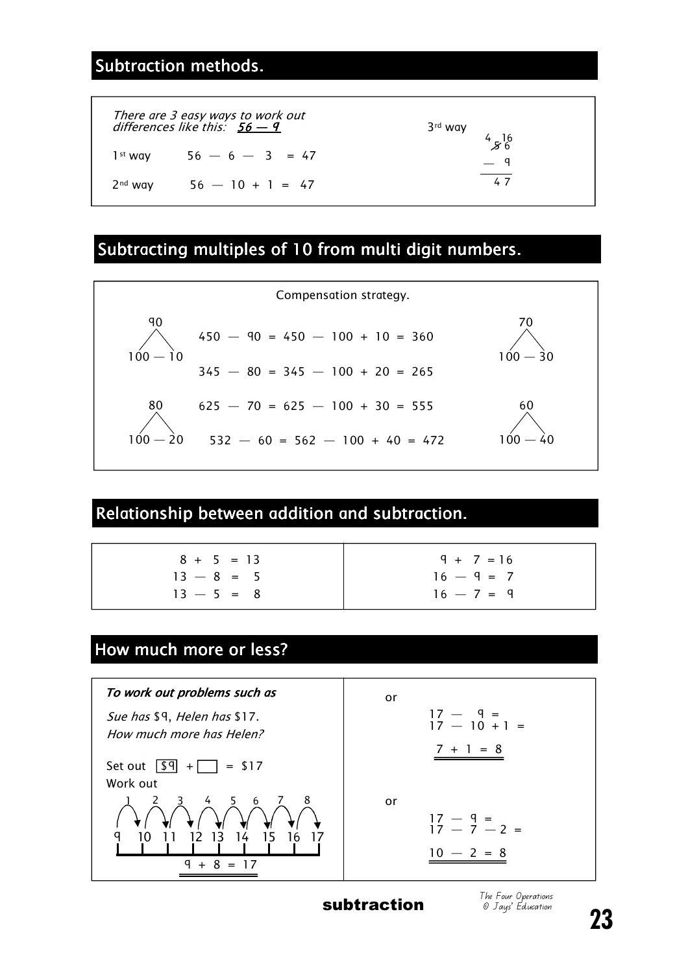#### Subtraction methods.

|                     | There are 3 easy ways to work out<br>differences like this: $56 - 9$ | 3 <sup>rd</sup> way<br>4. |
|---------------------|----------------------------------------------------------------------|---------------------------|
|                     | $1^{st}$ wav 56 - 6 - 3 = 47                                         | 4,80<br>$-$ 9             |
| 2 <sup>nd</sup> way | $56 - 10 + 1 = 47$                                                   | 47                        |

#### Subtracting multiples of 10 from multi digit numbers.



#### Relationship between addition and subtraction.

| $8 + 5 = 13$ |  |  |
|--------------|--|--|
| $13 - 8 = 5$ |  |  |
| $13 - 5 = 8$ |  |  |



#### How much more or less?



subtraction

The Four Operations © Jays' Education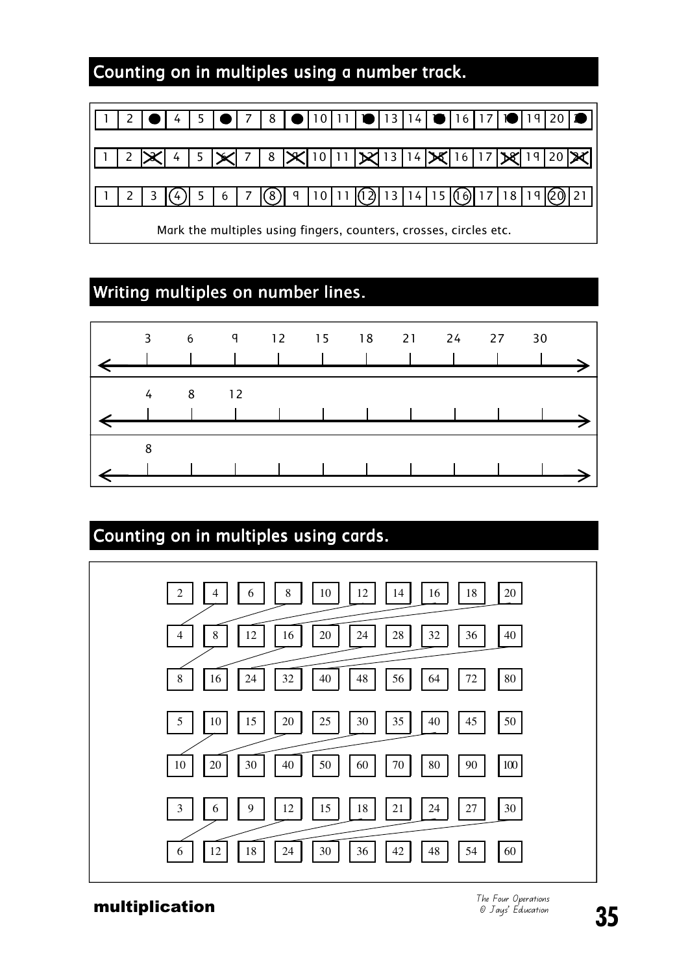#### Counting on in multiples using a number track.

|                                                                   |  | $4 \mid 5$ |  |   |  |     | $8$   $\bullet$   10 |  | 11   10   13   14   1                           |  |  |       | 16 17 10 19 |  |
|-------------------------------------------------------------------|--|------------|--|---|--|-----|----------------------|--|-------------------------------------------------|--|--|-------|-------------|--|
|                                                                   |  |            |  |   |  |     |                      |  |                                                 |  |  |       |             |  |
|                                                                   |  |            |  |   |  |     |                      |  | 7   8   X   10   11   X   13   14   X   16   17 |  |  |       |             |  |
|                                                                   |  |            |  |   |  |     |                      |  |                                                 |  |  |       |             |  |
|                                                                   |  |            |  | 6 |  | (8) |                      |  | $9$   10   11   (12)   13   14   15   (16)   17 |  |  | 18 19 |             |  |
| Mark the multiples using fingers, counters, crosses, circles etc. |  |            |  |   |  |     |                      |  |                                                 |  |  |       |             |  |

### Writing multiples on number lines.



# Counting on in multiples using cards. 2  $1$  4  $1$  6  $1$  8  $1$  10  $1$  12  $1$  14  $1$  16  $1$  18  $1$  20 4 | | 8 | | 12 | | 16 | | 20 | | 24 | | 28 | | 32 | | 36 | | 40 8 1 16 1 24 1 32 1 40 1 48 1 56 1 64 1 72 1 80 5 1 10 1 15 1 20 1 25 1 30 1 35 1 40 1 45 1 50  $10 \mid 20 \mid 30 \mid 40 \mid 50 \mid 60 \mid 70 \mid 80 \mid 90 \mid 100$  $3$   $6$   $9$   $12$   $12$   $15$   $13$   $12$   $12$   $24$   $12$ 6 1 12 1 18 1 24 1 30 1 36 1 42 1 48 1 54 1 60

**multiplication**<br> **multiplication**